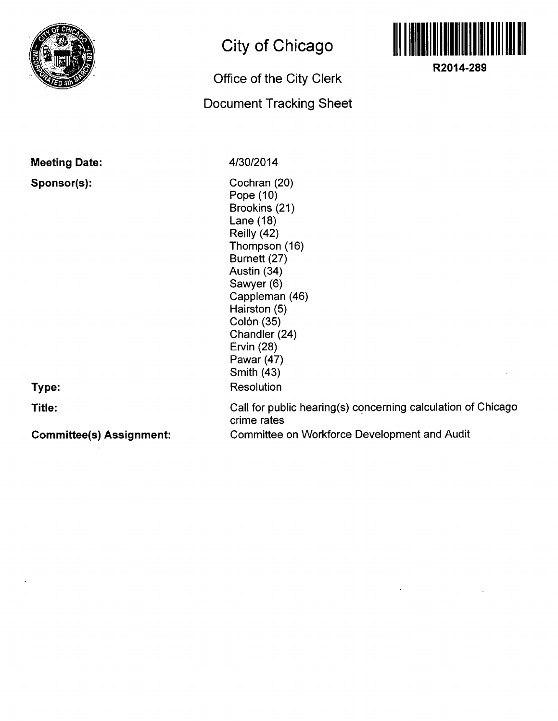

## **City of Chicago**

## **Office of the City Clerk**

## **Document Tracking Sheet**



**R2014-289** 

| <b>Meeting Date:</b>            | 4/30/2014                                                                                                                                                                                                                                                              |
|---------------------------------|------------------------------------------------------------------------------------------------------------------------------------------------------------------------------------------------------------------------------------------------------------------------|
| Sponsor(s):<br>Type:            | Cochran (20)<br>Pope (10)<br>Brookins (21)<br>Lane $(18)$<br>Reilly (42)<br>Thompson (16)<br>Burnett (27)<br>Austin (34)<br>Sawyer (6)<br>Cappleman (46)<br>Hairston (5)<br>Colón (35)<br>Chandler (24)<br>Ervin (28)<br>Pawar (47)<br><b>Smith (43)</b><br>Resolution |
| Title:                          | Call for public hearing(s) concerning calculation of Chicago<br>crime rates                                                                                                                                                                                            |
| <b>Committee(s) Assignment:</b> | <b>Committee on Workforce Development and Audit</b>                                                                                                                                                                                                                    |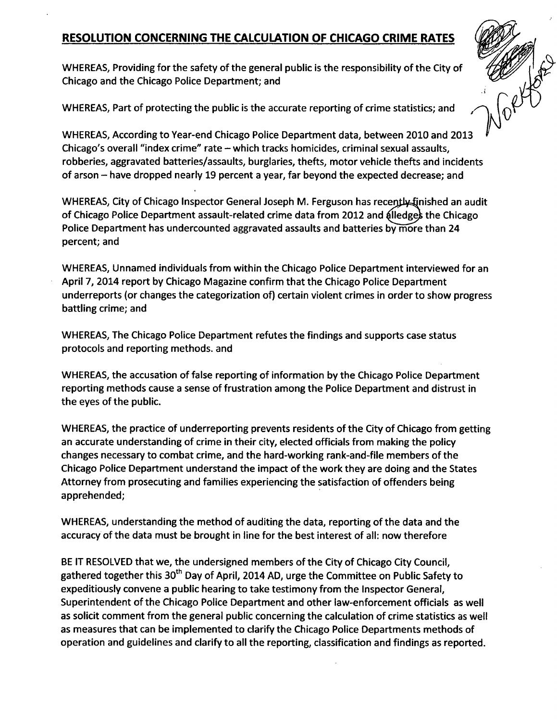## **RESOLUTION CONCERNING THE CALCULATION OF CHICAGO CRIME RATES**

WHEREAS, Providing for the safety of the general public is the responsibility of the City of Chicago and the Chicago Police Department; and

DATORY OF

WHEREAS, Part of protecting the public is the accurate reporting of crime statistics; and

WHEREAS, According to Year-end Chicago Police Department data, between 2010 and 2013 Chicago's overall "index crime" rate - which tracks homicides, criminal sexual assaults, robberies, aggravated batteries/assaults, burglaries, thefts, motor vehicle thefts and incidents of arson - have dropped nearly 19 percent a year, far beyond the expected decrease; and

WHEREAS, City of Chicago Inspector General Joseph M. Ferguson has recently finished an audit of Chicago Police Department assault-related crime data from 2012 and alledges the Chicago Police Department has undercounted aggravated assaults and batteries by more than 24 percent; and

WHEREAS, Unnamed individuals from within the Chicago Police Department interviewed for an April 7, 2014 report by Chicago Magazine confirm that the Chicago Police Department underreports (or changes the categorization of) certain violent crimes in orderto show progress battling crime; and

WHEREAS, The Chicago Police Department refutes the findings and supports case status protocols and reporting methods, and

WHEREAS, the accusation of false reporting of information by the Chicago Police Department reporting methods cause a sense of frustration among the Police Department and distrust in the eyes of the public.

WHEREAS, the practice of underreporting prevents residents of the City of Chicago from getting an accurate understanding of crime in their city, elected officials from making the policy changes necessary to combat crime, and the hard-working rank-and-file members of the Chicago Police Department understand the impact of the work they are doing and the States Attorney from prosecuting and families experiencing the satisfaction of offenders being apprehended;

WHEREAS, understanding the method of auditing the data, reporting of the data and the accuracy of the data must be brought in line for the best interest of all: now therefore

BE IT RESOLVED that we, the undersigned members of the City of Chicago City Council, gathered together this 30<sup>th</sup> Day of April, 2014 AD, urge the Committee on Public Safety to expeditiously convene a public hearing to take testimony from the Inspector General, Superintendent ofthe Chicago Police Department and other law-enforcement officials as well as solicit comment from the general public concerning the calculation of crime statistics as well as measures that can be implemented to clarify the Chicago Police Departments methods of operation and guidelines and clarify to all the reporting, classification and findings as reported.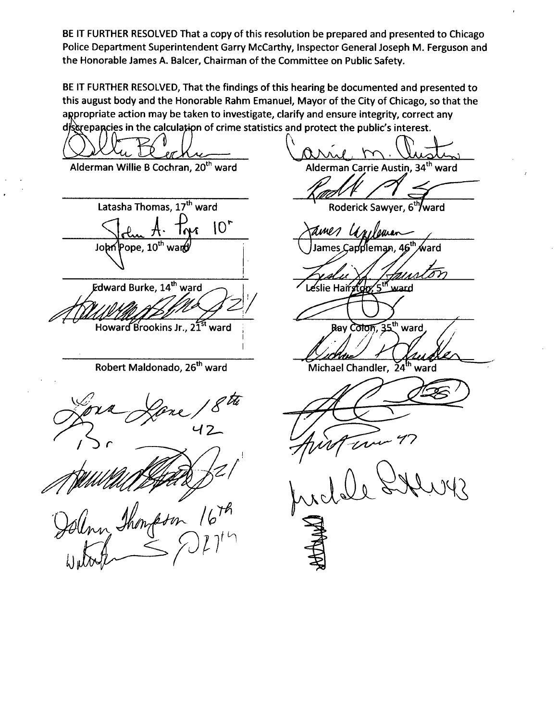**BE IT FURTHER RESOLVED That a copy of this resolution be prepared and presented to Chicago Police Department Superintendent Garry McCarthy, Inspector General Joseph M. Ferguson and the Honorable James A. Balcer, Chairman of the Committee on Public Safety.** 

**BE IT FURTHER RESOLVED, That the findings of this hearing be documented and presented to this august body and the Honorable Rahm Emanuel, Mayor of the City of Chicago, so that the appropriate action may be taken to investigate, clarify and ensure integrity, correct any**  discrepancies in the calculation of crime statistics and protect the public's interest.

Alderman Willie B Cochran, 20<sup>th</sup> ward **Alderman Carrie Austin, 34\*^ ward**  Latasha Thomas, 17<sup>th</sup> ward Roderick Sawyer, 6<sup>th</sup>/ward  $10<sup>2</sup>$ **Roderick Sawyer, 6\*7ward**  lames Cappleman, 46<sup>th</sup> ward John Pope, 10<sup>th</sup> wan  $5$ <sup>th</sup> ward **Jward Burke, 14\*\*^ ward**  Leslie Hairston. Ray Colon, 35<sup>th</sup> ward Howard Brookins Jr., 21<sup>st</sup> ward **Robert Maldonado, 26<sup>th</sup> ward Michael Chandler, 24th ward**  $\mathcal{L}$ ww Shongson